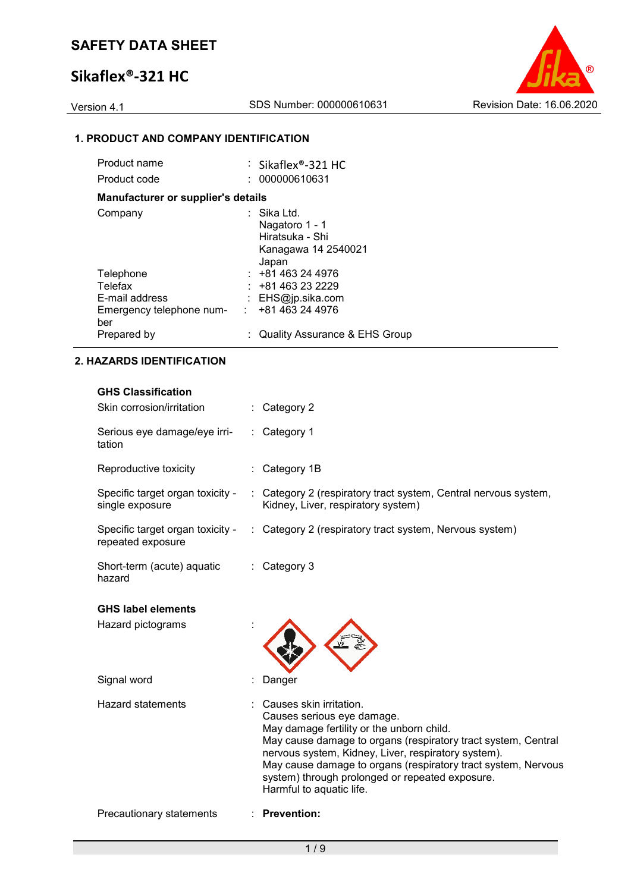## **Sikaflex®-321 HC**

Version 4.1 SDS Number: 000000610631 Revision Date: 16.06.2020

## **1. PRODUCT AND COMPANY IDENTIFICATION**

| Product name                       |    | : Sikaflex®-321 HC              |
|------------------------------------|----|---------------------------------|
| Product code                       |    | : 000000610631                  |
| Manufacturer or supplier's details |    |                                 |
| Company                            |    | : Sika Ltd.                     |
|                                    |    | Nagatoro 1 - 1                  |
|                                    |    | Hiratsuka - Shi                 |
|                                    |    | Kanagawa 14 2540021             |
|                                    |    | Japan                           |
| Telephone                          |    | $: +81463244976$                |
| Telefax                            |    | : 481463232229                  |
| E-mail address                     |    | : $EHS@ip.sika.com$             |
| Emergency telephone num-           | t. | +81 463 24 4976                 |
| ber                                |    |                                 |
| Prepared by                        |    | : Quality Assurance & EHS Group |

#### **2. HAZARDS IDENTIFICATION**

| <b>GHS Classification</b><br>Skin corrosion/irritation |   | Category 2                                                                                                                                                                                                                                                                                                                                                                 |
|--------------------------------------------------------|---|----------------------------------------------------------------------------------------------------------------------------------------------------------------------------------------------------------------------------------------------------------------------------------------------------------------------------------------------------------------------------|
| Serious eye damage/eye irri-<br>tation                 |   | Category 1                                                                                                                                                                                                                                                                                                                                                                 |
| Reproductive toxicity                                  |   | Category 1B                                                                                                                                                                                                                                                                                                                                                                |
| Specific target organ toxicity -<br>single exposure    |   | : Category 2 (respiratory tract system, Central nervous system,<br>Kidney, Liver, respiratory system)                                                                                                                                                                                                                                                                      |
| Specific target organ toxicity -<br>repeated exposure  | ÷ | Category 2 (respiratory tract system, Nervous system)                                                                                                                                                                                                                                                                                                                      |
| Short-term (acute) aquatic<br>hazard                   |   | Category 3                                                                                                                                                                                                                                                                                                                                                                 |
| <b>GHS label elements</b>                              |   |                                                                                                                                                                                                                                                                                                                                                                            |
| Hazard pictograms                                      |   |                                                                                                                                                                                                                                                                                                                                                                            |
| Signal word                                            |   | Danger                                                                                                                                                                                                                                                                                                                                                                     |
| <b>Hazard statements</b>                               |   | Causes skin irritation.<br>Causes serious eye damage.<br>May damage fertility or the unborn child.<br>May cause damage to organs (respiratory tract system, Central<br>nervous system, Kidney, Liver, respiratory system).<br>May cause damage to organs (respiratory tract system, Nervous<br>system) through prolonged or repeated exposure.<br>Harmful to aquatic life. |
| Precautionary statements                               |   | <b>Prevention:</b>                                                                                                                                                                                                                                                                                                                                                         |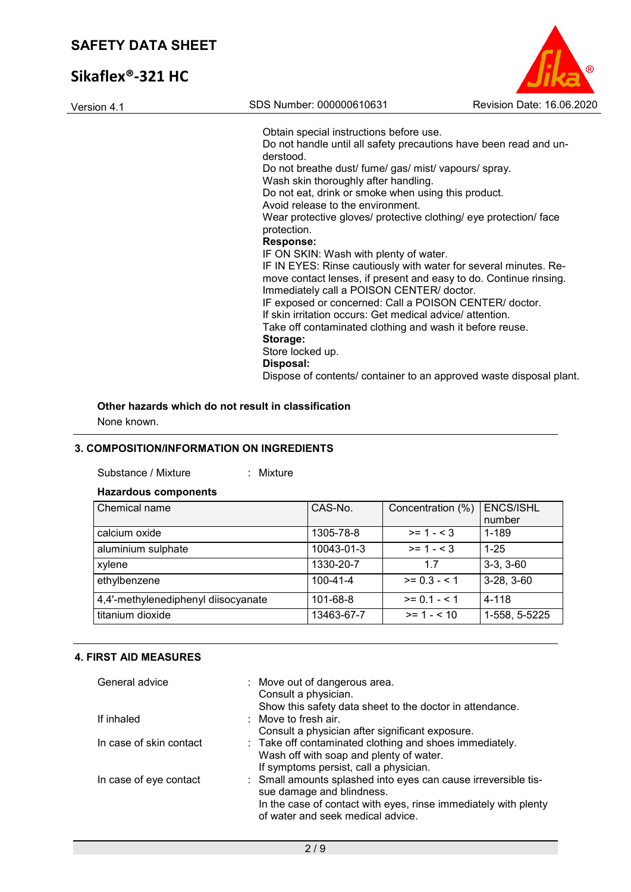# **Sikaflex®-321 HC**

| Version 4.1 | SDS Number: 000000610631                                                                                                                                                                                                     | Revision Date: 16.06.2020 |
|-------------|------------------------------------------------------------------------------------------------------------------------------------------------------------------------------------------------------------------------------|---------------------------|
|             | Obtain special instructions before use.                                                                                                                                                                                      |                           |
|             | Do not handle until all safety precautions have been read and un-<br>derstood.                                                                                                                                               |                           |
|             | Do not breathe dust/ fume/ gas/ mist/ vapours/ spray.<br>Wash skin thoroughly after handling.                                                                                                                                |                           |
|             | Do not eat, drink or smoke when using this product.<br>Avoid release to the environment.                                                                                                                                     |                           |
|             | Wear protective gloves/ protective clothing/ eye protection/ face<br>protection.                                                                                                                                             |                           |
|             | <b>Response:</b>                                                                                                                                                                                                             |                           |
|             | IF ON SKIN: Wash with plenty of water.<br>IF IN EYES: Rinse cautiously with water for several minutes. Re-<br>move contact lenses, if present and easy to do. Continue rinsing.<br>Immediately call a POISON CENTER/ doctor. |                           |
|             | IF exposed or concerned: Call a POISON CENTER/ doctor.<br>If skin irritation occurs: Get medical advice/attention.                                                                                                           |                           |
|             | Take off contaminated clothing and wash it before reuse.                                                                                                                                                                     |                           |
|             | Storage:<br>Store locked up.                                                                                                                                                                                                 |                           |
|             | Disposal:                                                                                                                                                                                                                    |                           |

Dispose of contents/ container to an approved waste disposal plant.

 $\odot$ 

**Other hazards which do not result in classification**

None known.

## **3. COMPOSITION/INFORMATION ON INGREDIENTS**

| Substance / Mixture |  | Mixture |
|---------------------|--|---------|
|---------------------|--|---------|

#### **Hazardous components**

| Chemical name                       | CAS-No.        | Concentration (%) | <b>ENCS/ISHL</b><br>number |
|-------------------------------------|----------------|-------------------|----------------------------|
| calcium oxide                       | 1305-78-8      | $>= 1 - 3$        | 1-189                      |
| aluminium sulphate                  | 10043-01-3     | $>= 1 - 3$        | $1 - 25$                   |
| xylene                              | 1330-20-7      | 1.7               | $3-3, 3-60$                |
| ethylbenzene                        | $100 - 41 - 4$ | $>= 0.3 - 1$      | $3-28, 3-60$               |
| 4,4'-methylenediphenyl diisocyanate | 101-68-8       | $>= 0.1 - 5.1$    | 4-118                      |
| titanium dioxide                    | 13463-67-7     | $>= 1 - 10$       | 1-558, 5-5225              |

### **4. FIRST AID MEASURES**

| General advice          | : Move out of dangerous area.                                   |
|-------------------------|-----------------------------------------------------------------|
|                         | Consult a physician.                                            |
|                         | Show this safety data sheet to the doctor in attendance.        |
| If inhaled              | : Move to fresh air.                                            |
|                         | Consult a physician after significant exposure.                 |
| In case of skin contact | : Take off contaminated clothing and shoes immediately.         |
|                         | Wash off with soap and plenty of water.                         |
|                         | If symptoms persist, call a physician.                          |
| In case of eye contact  | : Small amounts splashed into eyes can cause irreversible tis-  |
|                         | sue damage and blindness.                                       |
|                         | In the case of contact with eyes, rinse immediately with plenty |
|                         | of water and seek medical advice.                               |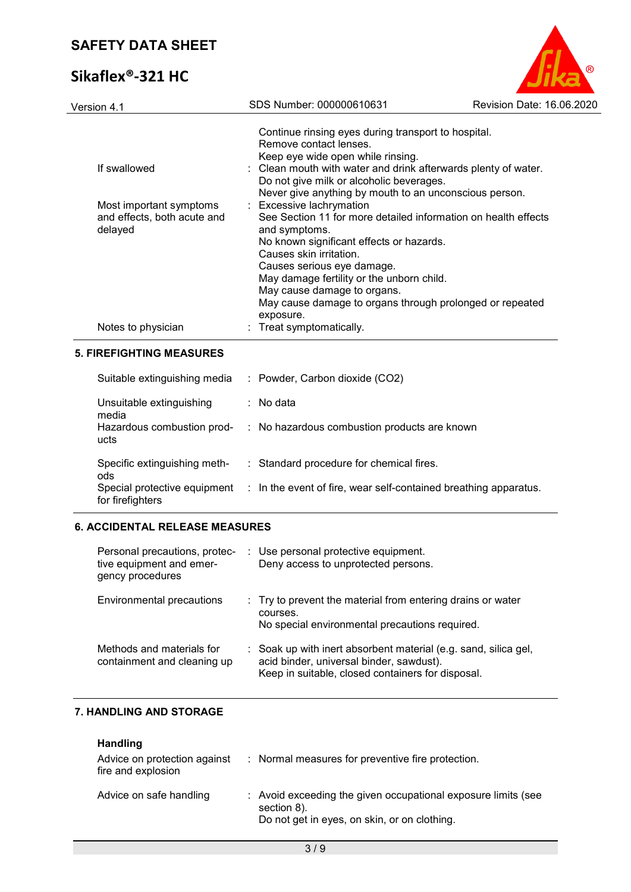# **Sikaflex®-321 HC**



| Version 4.1                            | SDS Number: 000000610631                                                                            | Revision Date: 16.06.2020 |
|----------------------------------------|-----------------------------------------------------------------------------------------------------|---------------------------|
|                                        | Continue rinsing eyes during transport to hospital.<br>Remove contact lenses.                       |                           |
| If swallowed                           | Keep eye wide open while rinsing.<br>: Clean mouth with water and drink afterwards plenty of water. |                           |
|                                        | Do not give milk or alcoholic beverages.                                                            |                           |
|                                        | Never give anything by mouth to an unconscious person.                                              |                           |
| Most important symptoms                | : Excessive lachrymation                                                                            |                           |
| and effects, both acute and<br>delayed | See Section 11 for more detailed information on health effects<br>and symptoms.                     |                           |
|                                        | No known significant effects or hazards.                                                            |                           |
|                                        | Causes skin irritation.                                                                             |                           |
|                                        | Causes serious eye damage.                                                                          |                           |
|                                        | May damage fertility or the unborn child.                                                           |                           |
|                                        | May cause damage to organs.                                                                         |                           |
|                                        | May cause damage to organs through prolonged or repeated<br>exposure.                               |                           |
| Notes to physician                     | : Treat symptomatically.                                                                            |                           |

#### **5. FIREFIGHTING MEASURES**

| Suitable extinguishing media                     | : Powder, Carbon dioxide (CO2)                                   |
|--------------------------------------------------|------------------------------------------------------------------|
| Unsuitable extinguishing<br>media                | $\therefore$ No data                                             |
| Hazardous combustion prod-<br>ucts               | : No hazardous combustion products are known                     |
| Specific extinguishing meth-<br>ods              | : Standard procedure for chemical fires.                         |
| Special protective equipment<br>for firefighters | : In the event of fire, wear self-contained breathing apparatus. |

#### **6. ACCIDENTAL RELEASE MEASURES**

| Personal precautions, protec-<br>tive equipment and emer-<br>gency procedures | : Use personal protective equipment.<br>Deny access to unprotected persons.                                                                                      |
|-------------------------------------------------------------------------------|------------------------------------------------------------------------------------------------------------------------------------------------------------------|
| <b>Environmental precautions</b>                                              | : Try to prevent the material from entering drains or water<br>courses.<br>No special environmental precautions required.                                        |
| Methods and materials for<br>containment and cleaning up                      | : Soak up with inert absorbent material (e.g. sand, silica gel,<br>acid binder, universal binder, sawdust).<br>Keep in suitable, closed containers for disposal. |

## **7. HANDLING AND STORAGE**

| <b>Handling</b>         |  |
|-------------------------|--|
| Advice on protection ag |  |

| Advice on protection against<br>fire and explosion | : Normal measures for preventive fire protection.                                                                            |
|----------------------------------------------------|------------------------------------------------------------------------------------------------------------------------------|
| Advice on safe handling                            | : Avoid exceeding the given occupational exposure limits (see<br>section 8).<br>Do not get in eyes, on skin, or on clothing. |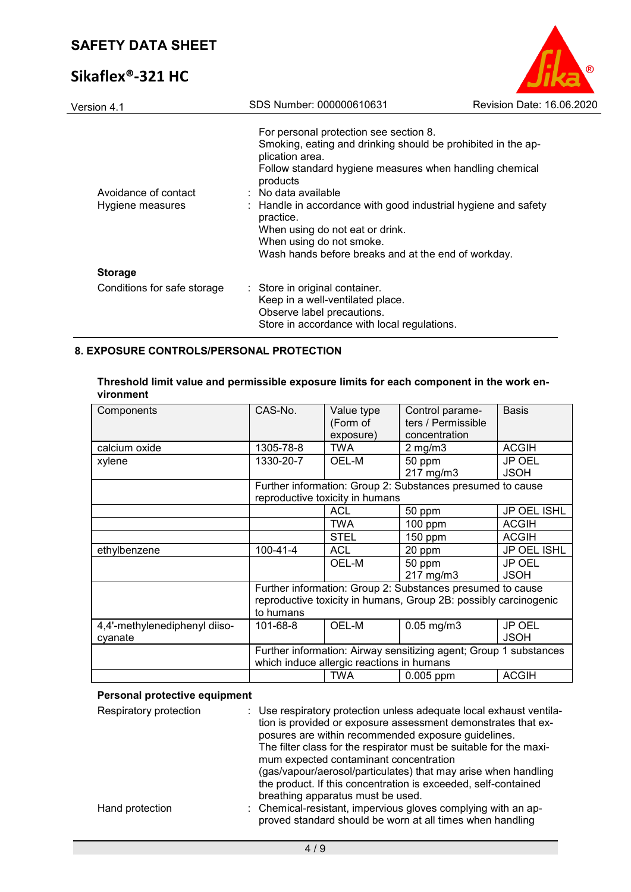# **Sikaflex®-321 HC**

| Version 4.1                              | SDS Number: 000000610631                                                                                                                                                                                                                                                                                                                                                                                                                | Revision Date: 16.06.2020 |
|------------------------------------------|-----------------------------------------------------------------------------------------------------------------------------------------------------------------------------------------------------------------------------------------------------------------------------------------------------------------------------------------------------------------------------------------------------------------------------------------|---------------------------|
| Avoidance of contact<br>Hygiene measures | For personal protection see section 8.<br>Smoking, eating and drinking should be prohibited in the ap-<br>plication area.<br>Follow standard hygiene measures when handling chemical<br>products<br>$\therefore$ No data available<br>: Handle in accordance with good industrial hygiene and safety<br>practice.<br>When using do not eat or drink.<br>When using do not smoke.<br>Wash hands before breaks and at the end of workday. |                           |
| <b>Storage</b>                           |                                                                                                                                                                                                                                                                                                                                                                                                                                         |                           |
| Conditions for safe storage              | : Store in original container.<br>Keep in a well-ventilated place.<br>Observe label precautions.<br>Store in accordance with local regulations.                                                                                                                                                                                                                                                                                         |                           |

®

## **8. EXPOSURE CONTROLS/PERSONAL PROTECTION**

| Threshold limit value and permissible exposure limits for each component in the work en- |  |
|------------------------------------------------------------------------------------------|--|
| vironment                                                                                |  |

| Components                    | CAS-No.                                                           | Value type                      | Control parame-                                            | <b>Basis</b>  |
|-------------------------------|-------------------------------------------------------------------|---------------------------------|------------------------------------------------------------|---------------|
|                               |                                                                   | (Form of                        | ters / Permissible                                         |               |
|                               |                                                                   | exposure)                       | concentration                                              |               |
| calcium oxide                 | 1305-78-8                                                         | <b>TWA</b>                      | $2$ mg/m $3$                                               | <b>ACGIH</b>  |
| xylene                        | 1330-20-7                                                         | OEL-M                           | 50 ppm                                                     | <b>JP OEL</b> |
|                               |                                                                   |                                 | 217 mg/m3                                                  | <b>JSOH</b>   |
|                               |                                                                   |                                 | Further information: Group 2: Substances presumed to cause |               |
|                               |                                                                   | reproductive toxicity in humans |                                                            |               |
|                               |                                                                   | <b>ACL</b>                      | 50 ppm                                                     | JP OEL ISHL   |
|                               |                                                                   | <b>TWA</b>                      | 100 ppm                                                    | <b>ACGIH</b>  |
|                               |                                                                   | <b>STEL</b>                     | 150 ppm                                                    | <b>ACGIH</b>  |
| ethylbenzene                  | $100 - 41 - 4$                                                    | <b>ACL</b>                      | 20 ppm                                                     | JP OEL ISHL   |
|                               |                                                                   | OEL-M                           | 50 ppm                                                     | JP OEL        |
|                               |                                                                   |                                 | 217 mg/m3                                                  | <b>JSOH</b>   |
|                               | Further information: Group 2: Substances presumed to cause        |                                 |                                                            |               |
|                               | reproductive toxicity in humans, Group 2B: possibly carcinogenic  |                                 |                                                            |               |
|                               | to humans                                                         |                                 |                                                            |               |
| 4,4'-methylenediphenyl diiso- | 101-68-8                                                          | OEL-M                           | $0.05$ mg/m $3$                                            | JP OEL        |
| cyanate                       |                                                                   |                                 |                                                            | <b>JSOH</b>   |
|                               | Further information: Airway sensitizing agent; Group 1 substances |                                 |                                                            |               |
|                               | which induce allergic reactions in humans                         |                                 |                                                            |               |
|                               |                                                                   | <b>TWA</b>                      | 0.005 ppm                                                  | <b>ACGIH</b>  |

## **Personal protective equipment**

| Respiratory protection | : Use respiratory protection unless adequate local exhaust ventila-<br>tion is provided or exposure assessment demonstrates that ex-<br>posures are within recommended exposure guidelines.<br>The filter class for the respirator must be suitable for the maxi-<br>mum expected contaminant concentration<br>(gas/vapour/aerosol/particulates) that may arise when handling<br>the product. If this concentration is exceeded, self-contained<br>breathing apparatus must be used. |
|------------------------|--------------------------------------------------------------------------------------------------------------------------------------------------------------------------------------------------------------------------------------------------------------------------------------------------------------------------------------------------------------------------------------------------------------------------------------------------------------------------------------|
| Hand protection        | : Chemical-resistant, impervious gloves complying with an ap-<br>proved standard should be worn at all times when handling                                                                                                                                                                                                                                                                                                                                                           |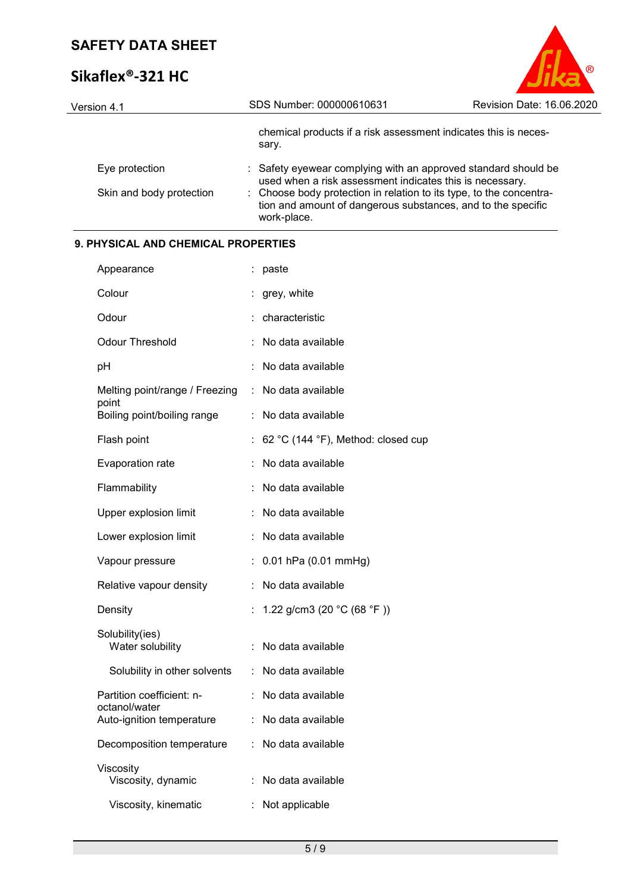# **Sikaflex®-321 HC**

| Version 4.1              | SDS Number: 000000610631                                                                                                                           | Revision Date: 16.06.2020 |
|--------------------------|----------------------------------------------------------------------------------------------------------------------------------------------------|---------------------------|
|                          | chemical products if a risk assessment indicates this is neces-<br>sary.                                                                           |                           |
| Eye protection           | : Safety eyewear complying with an approved standard should be<br>used when a risk assessment indicates this is necessary.                         |                           |
| Skin and body protection | : Choose body protection in relation to its type, to the concentra-<br>tion and amount of dangerous substances, and to the specific<br>work-place. |                           |

 $\circledR$ 

## **9. PHYSICAL AND CHEMICAL PROPERTIES**

| Appearance                                 |    | paste                              |
|--------------------------------------------|----|------------------------------------|
| Colour                                     |    | grey, white                        |
| Odour                                      |    | characteristic                     |
| Odour Threshold                            | ÷  | No data available                  |
| pH                                         |    | No data available                  |
| Melting point/range / Freezing<br>point    | ÷  | No data available                  |
| Boiling point/boiling range                | t. | No data available                  |
| Flash point                                |    | 62 °C (144 °F), Method: closed cup |
| Evaporation rate                           |    | No data available                  |
| Flammability                               |    | No data available                  |
| Upper explosion limit                      | ÷  | No data available                  |
| Lower explosion limit                      |    | No data available                  |
| Vapour pressure                            |    | 0.01 hPa (0.01 mmHg)               |
| Relative vapour density                    | t. | No data available                  |
| Density                                    |    | 1.22 g/cm3 (20 °C (68 °F))         |
| Solubility(ies)<br>Water solubility        |    | No data available                  |
| Solubility in other solvents               | t. | No data available                  |
| Partition coefficient: n-                  |    | No data available                  |
| octanol/water<br>Auto-ignition temperature |    | No data available                  |
| Decomposition temperature                  |    | : No data available                |
| Viscosity<br>Viscosity, dynamic            |    | No data available                  |
| Viscosity, kinematic                       | t. | Not applicable                     |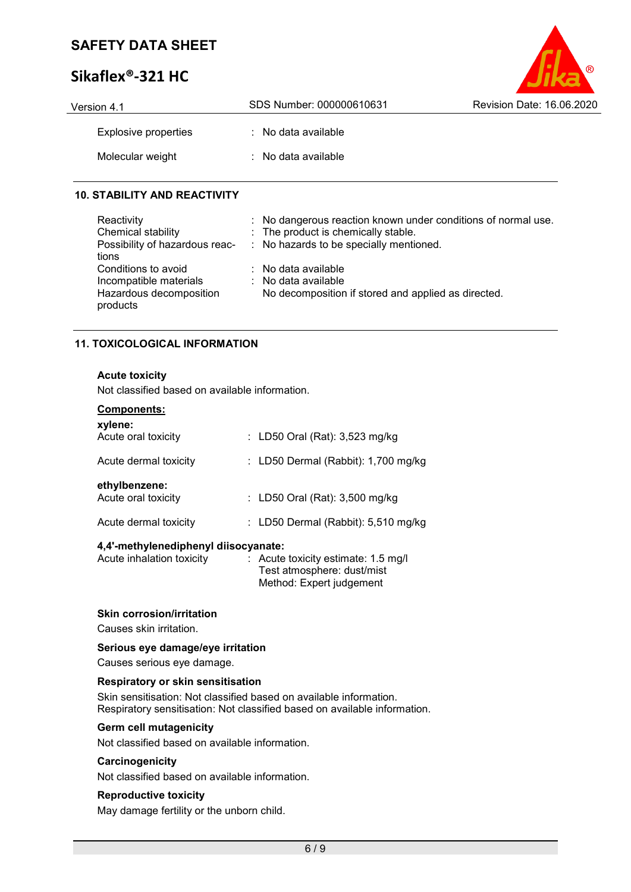# **Sikaflex®-321 HC**

| Version 4.1          | SDS Number: 000000610631       | Revision Date: 16.06.2020 |
|----------------------|--------------------------------|---------------------------|
| Explosive properties | $\therefore$ No data available |                           |
| Molecular weight     | $\therefore$ No data available |                           |

 $\odot$ 

### **10. STABILITY AND REACTIVITY**

| Reactivity<br>Chemical stability<br>Possibility of hazardous reac-<br>tions          | : No dangerous reaction known under conditions of normal use.<br>: The product is chemically stable.<br>: No hazards to be specially mentioned. |
|--------------------------------------------------------------------------------------|-------------------------------------------------------------------------------------------------------------------------------------------------|
| Conditions to avoid<br>Incompatible materials<br>Hazardous decomposition<br>products | $\therefore$ No data available<br>: No data available<br>No decomposition if stored and applied as directed.                                    |

### **11. TOXICOLOGICAL INFORMATION**

#### **Acute toxicity**

Not classified based on available information.

| Components:<br>xylene:               |                                       |
|--------------------------------------|---------------------------------------|
| Acute oral toxicity                  | : LD50 Oral (Rat): $3,523$ mg/kg      |
| Acute dermal toxicity                | : LD50 Dermal (Rabbit): $1,700$ mg/kg |
| ethylbenzene:<br>Acute oral toxicity | : LD50 Oral (Rat): 3,500 mg/kg        |
| Acute dermal toxicity                | : LD50 Dermal (Rabbit): $5,510$ mg/kg |
|                                      |                                       |

### **4,4'-methylenediphenyl diisocyanate:**

| $\therefore$ Acute toxicity estimate: 1.5 mg/l |
|------------------------------------------------|
| Test atmosphere: dust/mist                     |
| Method: Expert judgement                       |
|                                                |

#### **Skin corrosion/irritation**

Causes skin irritation.

### **Serious eye damage/eye irritation**

Causes serious eye damage.

#### **Respiratory or skin sensitisation**

Skin sensitisation: Not classified based on available information. Respiratory sensitisation: Not classified based on available information.

#### **Germ cell mutagenicity**

Not classified based on available information.

#### **Carcinogenicity**

Not classified based on available information.

#### **Reproductive toxicity**

May damage fertility or the unborn child.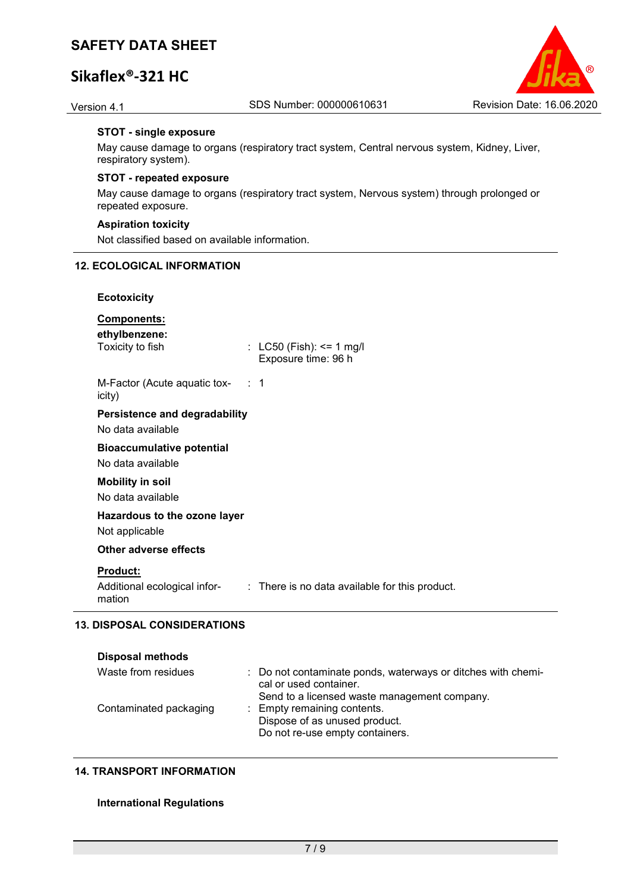## **Sikaflex®-321 HC**



#### **STOT - single exposure**

May cause damage to organs (respiratory tract system, Central nervous system, Kidney, Liver, respiratory system).

#### **STOT - repeated exposure**

May cause damage to organs (respiratory tract system, Nervous system) through prolonged or repeated exposure.

#### **Aspiration toxicity**

Not classified based on available information.

#### **12. ECOLOGICAL INFORMATION**

#### **Ecotoxicity**

### **Components:**

**ethylbenzene:**

 $\therefore$  LC50 (Fish): <= 1 mg/l Exposure time: 96 h

M-Factor (Acute aquatic toxicity) : 1

## **Persistence and degradability**

No data available

### **Bioaccumulative potential**

No data available

#### **Mobility in soil** No data available

**Hazardous to the ozone layer**

Not applicable

#### **Other adverse effects**

#### **Product:**

Additional ecological information : There is no data available for this product.

#### **13. DISPOSAL CONSIDERATIONS**

| <b>Disposal methods</b> |                                                                                                                                        |
|-------------------------|----------------------------------------------------------------------------------------------------------------------------------------|
| Waste from residues     | : Do not contaminate ponds, waterways or ditches with chemi-<br>cal or used container.<br>Send to a licensed waste management company. |
| Contaminated packaging  | : Empty remaining contents.<br>Dispose of as unused product.<br>Do not re-use empty containers.                                        |

#### **14. TRANSPORT INFORMATION**

#### **International Regulations**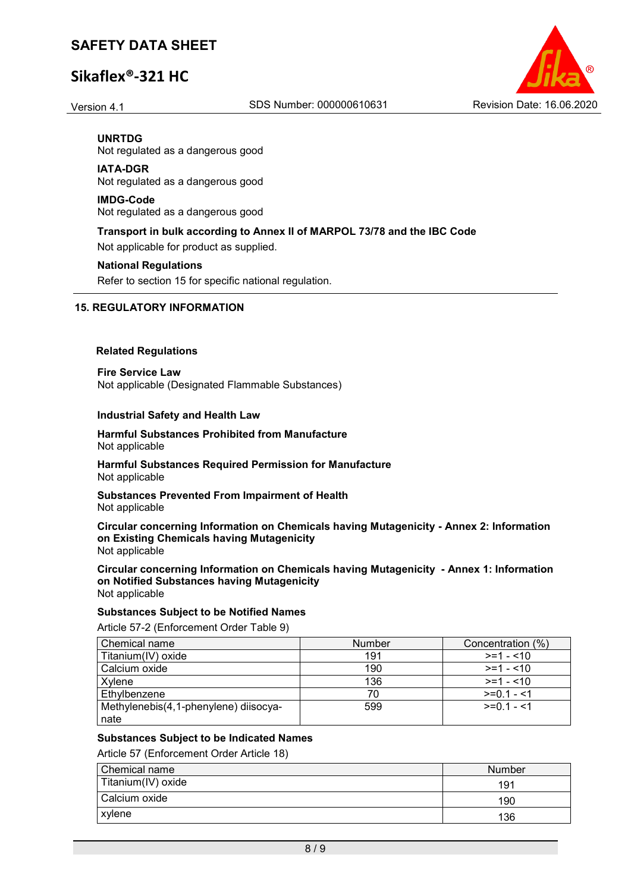## **Sikaflex®-321 HC**



**UNRTDG** Not regulated as a dangerous good

#### **IATA-DGR**

Not regulated as a dangerous good

#### **IMDG-Code**

Not regulated as a dangerous good

### **Transport in bulk according to Annex II of MARPOL 73/78 and the IBC Code**

Not applicable for product as supplied.

#### **National Regulations**

Refer to section 15 for specific national regulation.

#### **15. REGULATORY INFORMATION**

#### **Related Regulations**

**Fire Service Law** Not applicable (Designated Flammable Substances)

#### **Industrial Safety and Health Law**

#### **Harmful Substances Prohibited from Manufacture** Not applicable

**Harmful Substances Required Permission for Manufacture** Not applicable

**Substances Prevented From Impairment of Health** Not applicable

**Circular concerning Information on Chemicals having Mutagenicity - Annex 2: Information on Existing Chemicals having Mutagenicity** Not applicable

**Circular concerning Information on Chemicals having Mutagenicity - Annex 1: Information on Notified Substances having Mutagenicity** Not applicable

#### **Substances Subject to be Notified Names**

Article 57-2 (Enforcement Order Table 9)

| Chemical name                         | <b>Number</b> | Concentration (%) |
|---------------------------------------|---------------|-------------------|
| Titanium(IV) oxide                    | 191           | $>= 1 - 10$       |
| Calcium oxide                         | 190           | $>=1 - 10$        |
| Xvlene                                | 136           | $>= 1 - 10$       |
| Ethylbenzene                          | 70            | $>=0.1 - 1$       |
| Methylenebis(4,1-phenylene) diisocya- | 599           | $>=0.1 - 1.1$     |
| nate                                  |               |                   |

#### **Substances Subject to be Indicated Names**

Article 57 (Enforcement Order Article 18)

| Chemical name      | Number |
|--------------------|--------|
| Titanium(IV) oxide | 19′    |
| Calcium oxide      | 190    |
| xylene             | 136    |